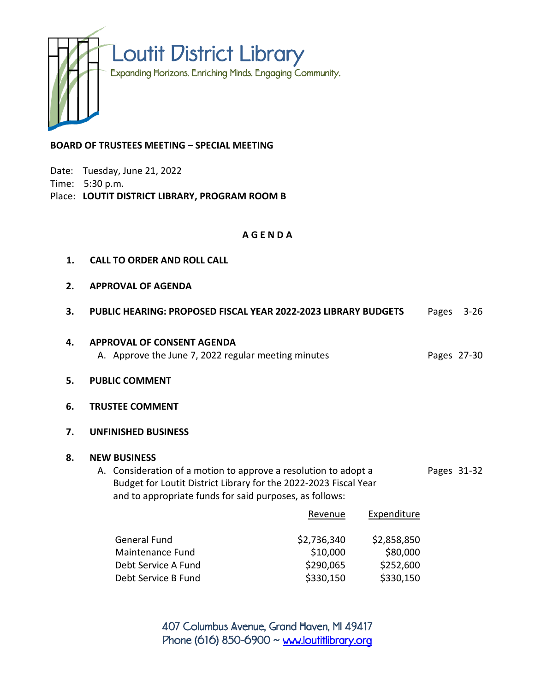

## **BOARD OF TRUSTEES MEETING – SPECIAL MEETING**

Date: Tuesday, June 21, 2022

Time: 5:30 p.m.

Place: **LOUTIT DISTRICT LIBRARY, PROGRAM ROOM B**

## **A G E N D A**

| 1. | <b>CALL TO ORDER AND ROLL CALL</b>                                                                                                                                                                                    |                                                                                          |                                      |                                      |       |             |
|----|-----------------------------------------------------------------------------------------------------------------------------------------------------------------------------------------------------------------------|------------------------------------------------------------------------------------------|--------------------------------------|--------------------------------------|-------|-------------|
| 2. | <b>APPROVAL OF AGENDA</b>                                                                                                                                                                                             |                                                                                          |                                      |                                      |       |             |
| 3. |                                                                                                                                                                                                                       | <b>PUBLIC HEARING: PROPOSED FISCAL YEAR 2022-2023 LIBRARY BUDGETS</b>                    |                                      |                                      | Pages | $3 - 26$    |
| 4. |                                                                                                                                                                                                                       | <b>APPROVAL OF CONSENT AGENDA</b><br>A. Approve the June 7, 2022 regular meeting minutes |                                      |                                      |       | Pages 27-30 |
| 5. | <b>PUBLIC COMMENT</b>                                                                                                                                                                                                 |                                                                                          |                                      |                                      |       |             |
| 6. | <b>TRUSTEE COMMENT</b>                                                                                                                                                                                                |                                                                                          |                                      |                                      |       |             |
| 7. | <b>UNFINISHED BUSINESS</b>                                                                                                                                                                                            |                                                                                          |                                      |                                      |       |             |
| 8. | <b>NEW BUSINESS</b><br>A. Consideration of a motion to approve a resolution to adopt a<br>Budget for Loutit District Library for the 2022-2023 Fiscal Year<br>and to appropriate funds for said purposes, as follows: |                                                                                          |                                      |                                      |       | Pages 31-32 |
|    |                                                                                                                                                                                                                       |                                                                                          | Revenue                              | Expenditure                          |       |             |
|    | <b>General Fund</b><br>Maintenance Fund<br>Debt Service A Fund                                                                                                                                                        |                                                                                          | \$2,736,340<br>\$10,000<br>\$290,065 | \$2,858,850<br>\$80,000<br>\$252,600 |       |             |

407 Columbus Avenue, Grand Haven, MI 49417 Phone (616) 850-6900  $\sim$  [www.loutitlibrary.org](http://www.loutitlibrary.org/)

Debt Service B Fund **\$230,150** \$330,150 \$330,150